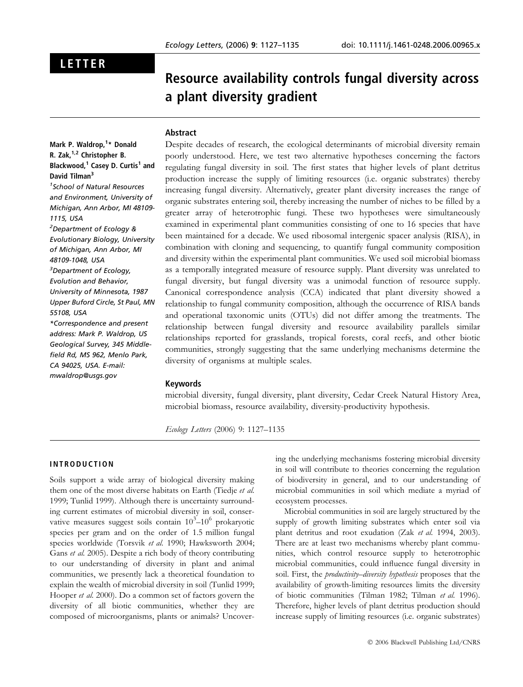## LETTER

Mark P. Waldrop,<sup>1</sup>\* Donald R. Zak, <sup>1,2</sup> Christopher B.

David Tilman<sup>3</sup>

1115, USA

48109-1048, USA <sup>3</sup>Department of Ecology, Evolution and Behavior, University of Minnesota, 1987 Upper Buford Circle, St Paul, MN

55108, USA

Blackwood,<sup>1</sup> Casey D. Curtis<sup>1</sup> and

1 School of Natural Resources and Environment, University of Michigan, Ann Arbor, MI 48109-

2 Department of Ecology & Evolutionary Biology, University of Michigan, Ann Arbor, MI

\*Correspondence and present address: Mark P. Waldrop, US Geological Survey, 345 Middlefield Rd, MS 962, Menlo Park, CA 94025, USA. E-mail: mwaldrop@usgs.gov

# Resource availability controls fungal diversity across a plant diversity gradient

## Abstract

Despite decades of research, the ecological determinants of microbial diversity remain poorly understood. Here, we test two alternative hypotheses concerning the factors regulating fungal diversity in soil. The first states that higher levels of plant detritus production increase the supply of limiting resources (i.e. organic substrates) thereby increasing fungal diversity. Alternatively, greater plant diversity increases the range of organic substrates entering soil, thereby increasing the number of niches to be filled by a greater array of heterotrophic fungi. These two hypotheses were simultaneously examined in experimental plant communities consisting of one to 16 species that have been maintained for a decade. We used ribosomal intergenic spacer analysis (RISA), in combination with cloning and sequencing, to quantify fungal community composition and diversity within the experimental plant communities. We used soil microbial biomass as a temporally integrated measure of resource supply. Plant diversity was unrelated to fungal diversity, but fungal diversity was a unimodal function of resource supply. Canonical correspondence analysis (CCA) indicated that plant diversity showed a relationship to fungal community composition, although the occurrence of RISA bands and operational taxonomic units (OTUs) did not differ among the treatments. The relationship between fungal diversity and resource availability parallels similar relationships reported for grasslands, tropical forests, coral reefs, and other biotic communities, strongly suggesting that the same underlying mechanisms determine the diversity of organisms at multiple scales.

## Keywords

microbial diversity, fungal diversity, plant diversity, Cedar Creek Natural History Area, microbial biomass, resource availability, diversity-productivity hypothesis.

Ecology Letters (2006) 9: 1127–1135

## INTRODUCTION

Soils support a wide array of biological diversity making them one of the most diverse habitats on Earth (Tiedje et al. 1999; Tunlid 1999). Although there is uncertainty surrounding current estimates of microbial diversity in soil, conservative measures suggest soils contain  $10^3$ - $10^6$  prokaryotic species per gram and on the order of 1.5 million fungal species worldwide (Torsvik et al. 1990; Hawksworth 2004; Gans et al. 2005). Despite a rich body of theory contributing to our understanding of diversity in plant and animal communities, we presently lack a theoretical foundation to explain the wealth of microbial diversity in soil (Tunlid 1999; Hooper et al. 2000). Do a common set of factors govern the diversity of all biotic communities, whether they are composed of microorganisms, plants or animals? Uncovering the underlying mechanisms fostering microbial diversity in soil will contribute to theories concerning the regulation of biodiversity in general, and to our understanding of microbial communities in soil which mediate a myriad of ecosystem processes.

Microbial communities in soil are largely structured by the supply of growth limiting substrates which enter soil via plant detritus and root exudation (Zak et al. 1994, 2003). There are at least two mechanisms whereby plant communities, which control resource supply to heterotrophic microbial communities, could influence fungal diversity in soil. First, the *productivity–diversity hypothesis* proposes that the availability of growth-limiting resources limits the diversity of biotic communities (Tilman 1982; Tilman et al. 1996). Therefore, higher levels of plant detritus production should increase supply of limiting resources (i.e. organic substrates)

- 2006 Blackwell Publishing Ltd/CNRS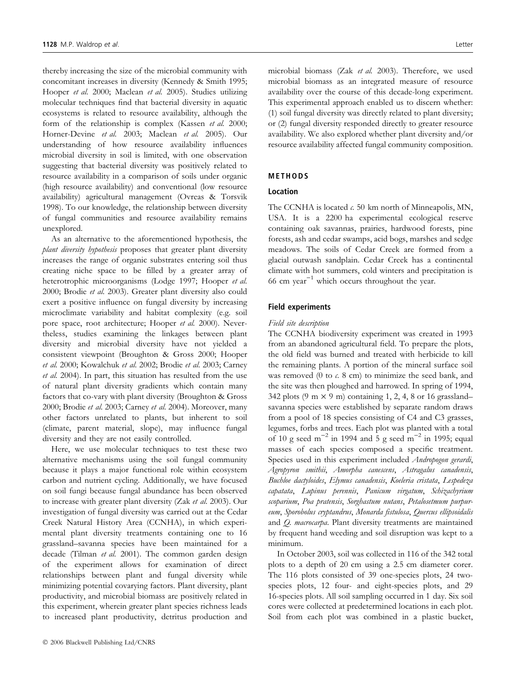thereby increasing the size of the microbial community with concomitant increases in diversity (Kennedy & Smith 1995; Hooper et al. 2000; Maclean et al. 2005). Studies utilizing molecular techniques find that bacterial diversity in aquatic ecosystems is related to resource availability, although the form of the relationship is complex (Kassen et al. 2000; Horner-Devine et al. 2003; Maclean et al. 2005). Our understanding of how resource availability influences microbial diversity in soil is limited, with one observation suggesting that bacterial diversity was positively related to resource availability in a comparison of soils under organic (high resource availability) and conventional (low resource availability) agricultural management (Ovreas & Torsvik 1998). To our knowledge, the relationship between diversity of fungal communities and resource availability remains unexplored.

As an alternative to the aforementioned hypothesis, the plant diversity hypothesis proposes that greater plant diversity increases the range of organic substrates entering soil thus creating niche space to be filled by a greater array of heterotrophic microorganisms (Lodge 1997; Hooper et al. 2000; Brodie et al. 2003). Greater plant diversity also could exert a positive influence on fungal diversity by increasing microclimate variability and habitat complexity (e.g. soil pore space, root architecture; Hooper et al. 2000). Nevertheless, studies examining the linkages between plant diversity and microbial diversity have not yielded a consistent viewpoint (Broughton & Gross 2000; Hooper et al. 2000; Kowalchuk et al. 2002; Brodie et al. 2003; Carney et al. 2004). In part, this situation has resulted from the use of natural plant diversity gradients which contain many factors that co-vary with plant diversity (Broughton & Gross 2000; Brodie et al. 2003; Carney et al. 2004). Moreover, many other factors unrelated to plants, but inherent to soil (climate, parent material, slope), may influence fungal diversity and they are not easily controlled.

Here, we use molecular techniques to test these two alternative mechanisms using the soil fungal community because it plays a major functional role within ecosystem carbon and nutrient cycling. Additionally, we have focused on soil fungi because fungal abundance has been observed to increase with greater plant diversity (Zak et al. 2003). Our investigation of fungal diversity was carried out at the Cedar Creek Natural History Area (CCNHA), in which experimental plant diversity treatments containing one to 16 grassland–savanna species have been maintained for a decade (Tilman et al. 2001). The common garden design of the experiment allows for examination of direct relationships between plant and fungal diversity while minimizing potential covarying factors. Plant diversity, plant productivity, and microbial biomass are positively related in this experiment, wherein greater plant species richness leads to increased plant productivity, detritus production and microbial biomass (Zak et al. 2003). Therefore, we used microbial biomass as an integrated measure of resource availability over the course of this decade-long experiment. This experimental approach enabled us to discern whether: (1) soil fungal diversity was directly related to plant diversity; or (2) fungal diversity responded directly to greater resource availability. We also explored whether plant diversity and/or resource availability affected fungal community composition.

## METHODS

#### Location

The CCNHA is located  $c$ . 50 km north of Minneapolis, MN, USA. It is a 2200 ha experimental ecological reserve containing oak savannas, prairies, hardwood forests, pine forests, ash and cedar swamps, acid bogs, marshes and sedge meadows. The soils of Cedar Creek are formed from a glacial outwash sandplain. Cedar Creek has a continental climate with hot summers, cold winters and precipitation is 66 cm year<sup>-1</sup> which occurs throughout the year.

## Field experiments

#### Field site description

The CCNHA biodiversity experiment was created in 1993 from an abandoned agricultural field. To prepare the plots, the old field was burned and treated with herbicide to kill the remaining plants. A portion of the mineral surface soil was removed (0 to  $\epsilon$ . 8 cm) to minimize the seed bank, and the site was then ploughed and harrowed. In spring of 1994, 342 plots (9 m  $\times$  9 m) containing 1, 2, 4, 8 or 16 grassland– savanna species were established by separate random draws from a pool of 18 species consisting of C4 and C3 grasses, legumes, forbs and trees. Each plot was planted with a total of 10 g seed m<sup>-2</sup> in 1994 and 5 g seed m<sup>-2</sup> in 1995; equal masses of each species composed a specific treatment. Species used in this experiment included Andropogon gerardi, Agropyron smithii, Amorpha canescens, Astragalus canadensis, Buchloe dactyloides, Elymus canadensis, Koeleria cristata, Lespedeza capatata, Lupinus perennis, Panicum virgatum, Schizachyrium scoparium, Poa pratensis, Sorghastum nutans, Petalosetmum purpureum, Sporobolus cryptandrus, Monarda fistulosa, Quercus ellipsoidalis and Q. macrocarpa. Plant diversity treatments are maintained by frequent hand weeding and soil disruption was kept to a minimum.

In October 2003, soil was collected in 116 of the 342 total plots to a depth of 20 cm using a 2.5 cm diameter corer. The 116 plots consisted of 39 one-species plots, 24 twospecies plots, 12 four- and eight-species plots, and 29 16-species plots. All soil sampling occurred in 1 day. Six soil cores were collected at predetermined locations in each plot. Soil from each plot was combined in a plastic bucket,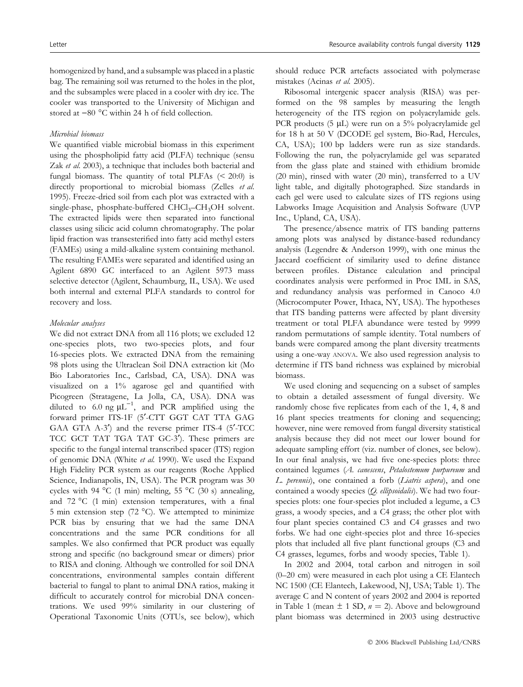homogenized by hand, and a subsample was placed in a plastic bag. The remaining soil was returned to the holes in the plot, and the subsamples were placed in a cooler with dry ice. The cooler was transported to the University of Michigan and stored at  $-80$  °C within 24 h of field collection.

## Microbial biomass

We quantified viable microbial biomass in this experiment using the phospholipid fatty acid (PLFA) technique (sensu Zak et al. 2003), a technique that includes both bacterial and fungal biomass. The quantity of total PLFAs  $( $20:0$ )$  is directly proportional to microbial biomass (Zelles et al. 1995). Freeze-dried soil from each plot was extracted with a single-phase, phosphate-buffered  $CHCl<sub>3</sub>-CH<sub>3</sub>OH$  solvent. The extracted lipids were then separated into functional classes using silicic acid column chromatography. The polar lipid fraction was transesterified into fatty acid methyl esters (FAMEs) using a mild-alkaline system containing methanol. The resulting FAMEs were separated and identified using an Agilent 6890 GC interfaced to an Agilent 5973 mass selective detector (Agilent, Schaumburg, IL, USA). We used both internal and external PLFA standards to control for recovery and loss.

## Molecular analyses

We did not extract DNA from all 116 plots; we excluded 12 one-species plots, two two-species plots, and four 16-species plots. We extracted DNA from the remaining 98 plots using the Ultraclean Soil DNA extraction kit (Mo Bio Laboratories Inc., Carlsbad, CA, USA). DNA was visualized on a 1% agarose gel and quantified with Picogreen (Stratagene, La Jolla, CA, USA). DNA was diluted to  $6.0$  ng  $\mu L^{-1}$ , and PCR amplified using the forward primer ITS-1F (5¢-CTT GGT CAT TTA GAG GAA GTA  $A-3'$  and the reverse primer ITS-4 (5'-TCC) TCC GCT TAT TGA TAT GC-3'). These primers are specific to the fungal internal transcribed spacer (ITS) region of genomic DNA (White et al. 1990). We used the Expand High Fidelity PCR system as our reagents (Roche Applied Science, Indianapolis, IN, USA). The PCR program was 30 cycles with 94  $^{\circ}$ C (1 min) melting, 55  $^{\circ}$ C (30 s) annealing, and  $72 \text{ °C}$  (1 min) extension temperatures, with a final 5 min extension step  $(72 \text{ °C})$ . We attempted to minimize PCR bias by ensuring that we had the same DNA concentrations and the same PCR conditions for all samples. We also confirmed that PCR product was equally strong and specific (no background smear or dimers) prior to RISA and cloning. Although we controlled for soil DNA concentrations, environmental samples contain different bacterial to fungal to plant to animal DNA ratios, making it difficult to accurately control for microbial DNA concentrations. We used 99% similarity in our clustering of Operational Taxonomic Units (OTUs, see below), which should reduce PCR artefacts associated with polymerase mistakes (Acinas et al. 2005).

Ribosomal intergenic spacer analysis (RISA) was performed on the 98 samples by measuring the length heterogeneity of the ITS region on polyacrylamide gels. PCR products (5 µL) were run on a 5% polyacrylamide gel for 18 h at 50 V (DCODE gel system, Bio-Rad, Hercules, CA, USA); 100 bp ladders were run as size standards. Following the run, the polyacrylamide gel was separated from the glass plate and stained with ethidium bromide (20 min), rinsed with water (20 min), transferred to a UV light table, and digitally photographed. Size standards in each gel were used to calculate sizes of ITS regions using Labworks Image Acquisition and Analysis Software (UVP Inc., Upland, CA, USA).

The presence/absence matrix of ITS banding patterns among plots was analysed by distance-based redundancy analysis (Legendre & Anderson 1999), with one minus the Jaccard coefficient of similarity used to define distance between profiles. Distance calculation and principal coordinates analysis were performed in Proc IML in SAS, and redundancy analysis was performed in Canoco 4.0 (Microcomputer Power, Ithaca, NY, USA). The hypotheses that ITS banding patterns were affected by plant diversity treatment or total PLFA abundance were tested by 9999 random permutations of sample identity. Total numbers of bands were compared among the plant diversity treatments using a one-way ANOVA. We also used regression analysis to determine if ITS band richness was explained by microbial biomass.

We used cloning and sequencing on a subset of samples to obtain a detailed assessment of fungal diversity. We randomly chose five replicates from each of the 1, 4, 8 and 16 plant species treatments for cloning and sequencing; however, nine were removed from fungal diversity statistical analysis because they did not meet our lower bound for adequate sampling effort (viz. number of clones, see below). In our final analysis, we had five one-species plots: three contained legumes (A. canescens, Petalostemum purpureum and L. perennis), one contained a forb (Liatris aspera), and one contained a woody species (Q. ellipsoidalis). We had two fourspecies plots: one four-species plot included a legume, a C3 grass, a woody species, and a C4 grass; the other plot with four plant species contained C3 and C4 grasses and two forbs. We had one eight-species plot and three 16-species plots that included all five plant functional groups (C3 and C4 grasses, legumes, forbs and woody species, Table 1).

In 2002 and 2004, total carbon and nitrogen in soil (0–20 cm) were measured in each plot using a CE Elantech NC 1500 (CE Elantech, Lakewood, NJ, USA; Table 1). The average C and N content of years 2002 and 2004 is reported in Table 1 (mean  $\pm$  1 SD,  $n = 2$ ). Above and belowground plant biomass was determined in 2003 using destructive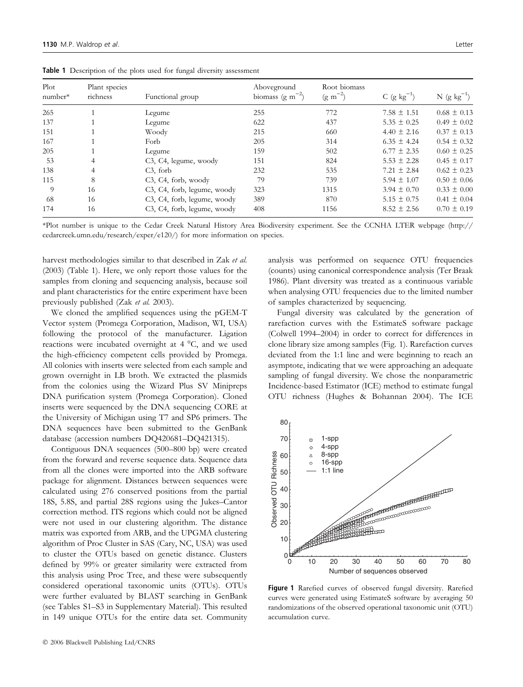| Plot<br>number* | Plant species<br>richness | Functional group                              | Aboveground<br>biomass (g m <sup><math>^{-2}</math></sup> ) | Root biomass<br>$(g \; m^{-2})$ | $C(g kg^{-1})$  | $N(g kg^{-1})$  |
|-----------------|---------------------------|-----------------------------------------------|-------------------------------------------------------------|---------------------------------|-----------------|-----------------|
|                 |                           |                                               |                                                             |                                 |                 |                 |
| 265             |                           | Legume                                        | 255                                                         | 772                             | $7.58 \pm 1.51$ | $0.68 \pm 0.13$ |
| 137             |                           | Legume                                        | 622                                                         | 437                             | 5.35 $\pm$ 0.25 | $0.49 \pm 0.02$ |
| 151             |                           | Woody                                         | 215                                                         | 660                             | $4.40 \pm 2.16$ | $0.37 \pm 0.13$ |
| 167             |                           | Forb                                          | 205                                                         | 314                             | $6.35 \pm 4.24$ | $0.54 \pm 0.32$ |
| 205             |                           | Legume                                        | 159                                                         | 502                             | $6.77 \pm 2.35$ | $0.60 \pm 0.25$ |
| 53              | 4                         | C3, C4, legume, woody                         | 151                                                         | 824                             | $5.53 \pm 2.28$ | $0.45 \pm 0.17$ |
| 138             | 4                         | $C3.$ forb                                    | 232                                                         | 535                             | $7.21 \pm 2.84$ | $0.62 \pm 0.23$ |
| 115             | 8                         | C <sub>3</sub> , C <sub>4</sub> , forb, woody | 79                                                          | 739                             | $5.94 \pm 1.07$ | $0.50 \pm 0.06$ |
| 9               | 16                        | C3, C4, forb, legume, woody                   | 323                                                         | 1315                            | $3.94 \pm 0.70$ | $0.33 \pm 0.00$ |
| -68             | 16                        | C3, C4, forb, legume, woody                   | 389                                                         | 870                             | $5.15 \pm 0.75$ | $0.41 \pm 0.04$ |
| 174             | 16                        | C3, C4, forb, legume, woody                   | 408                                                         | 1156                            | $8.52 \pm 2.56$ | $0.70 \pm 0.19$ |

Table 1 Description of the plots used for fungal diversity assessment

\*Plot number is unique to the Cedar Creek Natural History Area Biodiversity experiment. See the CCNHA LTER webpage (http:// cedarcreek.umn.edu/research/exper/e120/) for more information on species.

harvest methodologies similar to that described in Zak et al. (2003) (Table 1). Here, we only report those values for the samples from cloning and sequencing analysis, because soil and plant characteristics for the entire experiment have been previously published (Zak et al. 2003).

We cloned the amplified sequences using the pGEM-T Vector system (Promega Corporation, Madison, WI, USA) following the protocol of the manufacturer. Ligation reactions were incubated overnight at  $4^{\circ}$ C, and we used the high-efficiency competent cells provided by Promega. All colonies with inserts were selected from each sample and grown overnight in LB broth. We extracted the plasmids from the colonies using the Wizard Plus SV Minipreps DNA purification system (Promega Corporation). Cloned inserts were sequenced by the DNA sequencing CORE at the University of Michigan using T7 and SP6 primers. The DNA sequences have been submitted to the GenBank database (accession numbers DQ420681–DQ421315).

Contiguous DNA sequences (500–800 bp) were created from the forward and reverse sequence data. Sequence data from all the clones were imported into the ARB software package for alignment. Distances between sequences were calculated using 276 conserved positions from the partial 18S, 5.8S, and partial 28S regions using the Jukes–Cantor correction method. ITS regions which could not be aligned were not used in our clustering algorithm. The distance matrix was exported from ARB, and the UPGMA clustering algorithm of Proc Cluster in SAS (Cary, NC, USA) was used to cluster the OTUs based on genetic distance. Clusters defined by 99% or greater similarity were extracted from this analysis using Proc Tree, and these were subsequently considered operational taxonomic units (OTUs). OTUs were further evaluated by BLAST searching in GenBank (see Tables S1–S3 in Supplementary Material). This resulted in 149 unique OTUs for the entire data set. Community analysis was performed on sequence OTU frequencies (counts) using canonical correspondence analysis (Ter Braak 1986). Plant diversity was treated as a continuous variable when analysing OTU frequencies due to the limited number of samples characterized by sequencing.

Fungal diversity was calculated by the generation of rarefaction curves with the EstimateS software package (Colwell 1994–2004) in order to correct for differences in clone library size among samples (Fig. 1). Rarefaction curves deviated from the 1:1 line and were beginning to reach an asymptote, indicating that we were approaching an adequate sampling of fungal diversity. We chose the nonparametric Incidence-based Estimator (ICE) method to estimate fungal OTU richness (Hughes & Bohannan 2004). The ICE



Figure 1 Rarefied curves of observed fungal diversity. Rarefied curves were generated using EstimateS software by averaging 50 randomizations of the observed operational taxonomic unit (OTU) accumulation curve.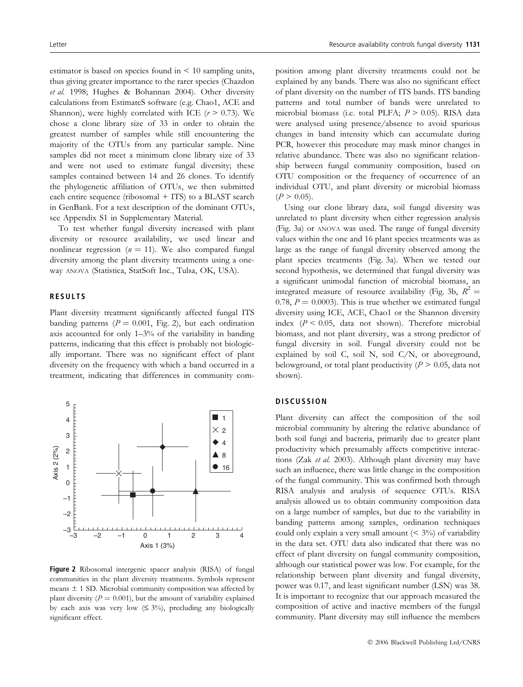estimator is based on species found in  $\leq 10$  sampling units, thus giving greater importance to the rarer species (Chazdon et al. 1998; Hughes & Bohannan 2004). Other diversity calculations from EstimateS software (e.g. Chao1, ACE and Shannon), were highly correlated with ICE  $(r > 0.73)$ . We chose a clone library size of 33 in order to obtain the greatest number of samples while still encountering the majority of the OTUs from any particular sample. Nine samples did not meet a minimum clone library size of 33 and were not used to estimate fungal diversity; these samples contained between 14 and 26 clones. To identify the phylogenetic affiliation of OTUs, we then submitted each entire sequence (ribosomal + ITS) to a BLAST search in GenBank. For a text description of the dominant OTUs, see Appendix S1 in Supplementary Material.

To test whether fungal diversity increased with plant diversity or resource availability, we used linear and nonlinear regression ( $n = 11$ ). We also compared fungal diversity among the plant diversity treatments using a oneway ANOVA (Statistica, StatSoft Inc., Tulsa, OK, USA).

## RESULTS

Plant diversity treatment significantly affected fungal ITS banding patterns ( $P = 0.001$ , Fig. 2), but each ordination axis accounted for only 1–3% of the variability in banding patterns, indicating that this effect is probably not biologically important. There was no significant effect of plant diversity on the frequency with which a band occurred in a treatment, indicating that differences in community com-



Figure 2 Ribosomal intergenic spacer analysis (RISA) of fungal communities in the plant diversity treatments. Symbols represent means  $\pm$  1 SD. Microbial community composition was affected by plant diversity ( $P = 0.001$ ), but the amount of variability explained by each axis was very low  $( \leq 3\%)$ , precluding any biologically significant effect.

position among plant diversity treatments could not be explained by any bands. There was also no significant effect of plant diversity on the number of ITS bands. ITS banding patterns and total number of bands were unrelated to microbial biomass (i.e. total PLFA;  $P > 0.05$ ). RISA data were analysed using presence/absence to avoid spurious changes in band intensity which can accumulate during PCR, however this procedure may mask minor changes in relative abundance. There was also no significant relationship between fungal community composition, based on OTU composition or the frequency of occurrence of an individual OTU, and plant diversity or microbial biomass  $(P > 0.05)$ .

Using our clone library data, soil fungal diversity was unrelated to plant diversity when either regression analysis (Fig. 3a) or ANOVA was used. The range of fungal diversity values within the one and 16 plant species treatments was as large as the range of fungal diversity observed among the plant species treatments (Fig. 3a). When we tested our second hypothesis, we determined that fungal diversity was a significant unimodal function of microbial biomass, an integrated measure of resource availability (Fig. 3b,  $R^2 =$ 0.78,  $P = 0.0003$ . This is true whether we estimated fungal diversity using ICE, ACE, Chao1 or the Shannon diversity index ( $P < 0.05$ , data not shown). Therefore microbial biomass, and not plant diversity, was a strong predictor of fungal diversity in soil. Fungal diversity could not be explained by soil C, soil N, soil C/N, or aboveground, belowground, or total plant productivity ( $P > 0.05$ , data not shown).

## **DISCUSSION**

Plant diversity can affect the composition of the soil microbial community by altering the relative abundance of both soil fungi and bacteria, primarily due to greater plant productivity which presumably affects competitive interactions (Zak et al. 2003). Although plant diversity may have such an influence, there was little change in the composition of the fungal community. This was confirmed both through RISA analysis and analysis of sequence OTUs. RISA analysis allowed us to obtain community composition data on a large number of samples, but due to the variability in banding patterns among samples, ordination techniques could only explain a very small amount  $(< 3\%)$  of variability in the data set. OTU data also indicated that there was no effect of plant diversity on fungal community composition, although our statistical power was low. For example, for the relationship between plant diversity and fungal diversity, power was 0.17, and least significant number (LSN) was 38. It is important to recognize that our approach measured the composition of active and inactive members of the fungal community. Plant diversity may still influence the members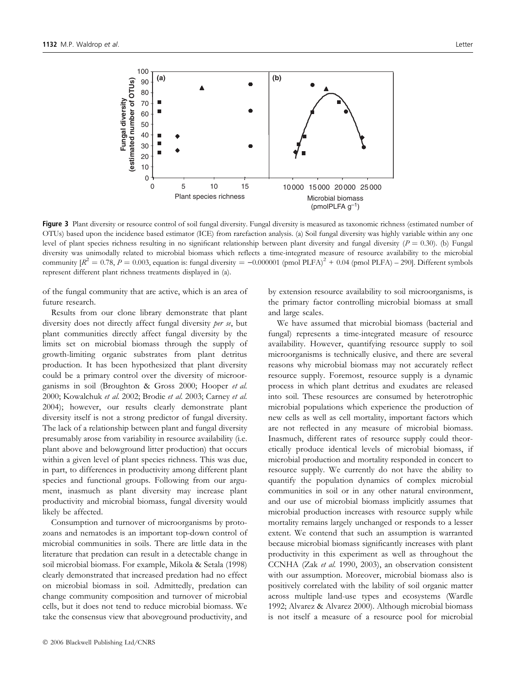

Figure 3 Plant diversity or resource control of soil fungal diversity. Fungal diversity is measured as taxonomic richness (estimated number of OTUs) based upon the incidence based estimator (ICE) from rarefaction analysis. (a) Soil fungal diversity was highly variable within any one level of plant species richness resulting in no significant relationship between plant diversity and fungal diversity ( $P = 0.30$ ). (b) Fungal diversity was unimodally related to microbial biomass which reflects a time-integrated measure of resource availability to the microbial community  $[R^2 = 0.78, P = 0.003,$  equation is: fungal diversity  $= -0.000001$  (pmol PLFA)<sup>2</sup> + 0.04 (pmol PLFA) – 290]. Different symbols represent different plant richness treatments displayed in (a).

of the fungal community that are active, which is an area of future research.

Results from our clone library demonstrate that plant diversity does not directly affect fungal diversity per se, but plant communities directly affect fungal diversity by the limits set on microbial biomass through the supply of growth-limiting organic substrates from plant detritus production. It has been hypothesized that plant diversity could be a primary control over the diversity of microorganisms in soil (Broughton & Gross 2000; Hooper et al. 2000; Kowalchuk et al. 2002; Brodie et al. 2003; Carney et al. 2004); however, our results clearly demonstrate plant diversity itself is not a strong predictor of fungal diversity. The lack of a relationship between plant and fungal diversity presumably arose from variability in resource availability (i.e. plant above and belowground litter production) that occurs within a given level of plant species richness. This was due, in part, to differences in productivity among different plant species and functional groups. Following from our argument, inasmuch as plant diversity may increase plant productivity and microbial biomass, fungal diversity would likely be affected.

Consumption and turnover of microorganisms by protozoans and nematodes is an important top-down control of microbial communities in soils. There are little data in the literature that predation can result in a detectable change in soil microbial biomass. For example, Mikola & Setala (1998) clearly demonstrated that increased predation had no effect on microbial biomass in soil. Admittedly, predation can change community composition and turnover of microbial cells, but it does not tend to reduce microbial biomass. We take the consensus view that aboveground productivity, and by extension resource availability to soil microorganisms, is the primary factor controlling microbial biomass at small and large scales.

We have assumed that microbial biomass (bacterial and fungal) represents a time-integrated measure of resource availability. However, quantifying resource supply to soil microorganisms is technically elusive, and there are several reasons why microbial biomass may not accurately reflect resource supply. Foremost, resource supply is a dynamic process in which plant detritus and exudates are released into soil. These resources are consumed by heterotrophic microbial populations which experience the production of new cells as well as cell mortality, important factors which are not reflected in any measure of microbial biomass. Inasmuch, different rates of resource supply could theoretically produce identical levels of microbial biomass, if microbial production and mortality responded in concert to resource supply. We currently do not have the ability to quantify the population dynamics of complex microbial communities in soil or in any other natural environment, and our use of microbial biomass implicitly assumes that microbial production increases with resource supply while mortality remains largely unchanged or responds to a lesser extent. We contend that such an assumption is warranted because microbial biomass significantly increases with plant productivity in this experiment as well as throughout the CCNHA (Zak et al. 1990, 2003), an observation consistent with our assumption. Moreover, microbial biomass also is positively correlated with the lability of soil organic matter across multiple land-use types and ecosystems (Wardle 1992; Alvarez & Alvarez 2000). Although microbial biomass is not itself a measure of a resource pool for microbial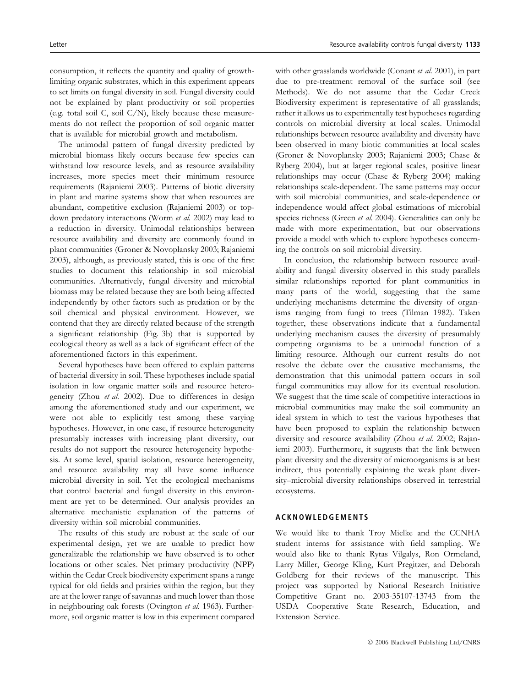consumption, it reflects the quantity and quality of growthlimiting organic substrates, which in this experiment appears to set limits on fungal diversity in soil. Fungal diversity could not be explained by plant productivity or soil properties (e.g. total soil C, soil C/N), likely because these measurements do not reflect the proportion of soil organic matter that is available for microbial growth and metabolism.

The unimodal pattern of fungal diversity predicted by microbial biomass likely occurs because few species can withstand low resource levels, and as resource availability increases, more species meet their minimum resource requirements (Rajaniemi 2003). Patterns of biotic diversity in plant and marine systems show that when resources are abundant, competitive exclusion (Rajaniemi 2003) or topdown predatory interactions (Worm et al. 2002) may lead to a reduction in diversity. Unimodal relationships between resource availability and diversity are commonly found in plant communities (Groner & Novoplansky 2003; Rajaniemi 2003), although, as previously stated, this is one of the first studies to document this relationship in soil microbial communities. Alternatively, fungal diversity and microbial biomass may be related because they are both being affected independently by other factors such as predation or by the soil chemical and physical environment. However, we contend that they are directly related because of the strength a significant relationship (Fig. 3b) that is supported by ecological theory as well as a lack of significant effect of the aforementioned factors in this experiment.

Several hypotheses have been offered to explain patterns of bacterial diversity in soil. These hypotheses include spatial isolation in low organic matter soils and resource heterogeneity (Zhou et al. 2002). Due to differences in design among the aforementioned study and our experiment, we were not able to explicitly test among these varying hypotheses. However, in one case, if resource heterogeneity presumably increases with increasing plant diversity, our results do not support the resource heterogeneity hypothesis. At some level, spatial isolation, resource heterogeneity, and resource availability may all have some influence microbial diversity in soil. Yet the ecological mechanisms that control bacterial and fungal diversity in this environment are yet to be determined. Our analysis provides an alternative mechanistic explanation of the patterns of diversity within soil microbial communities.

The results of this study are robust at the scale of our experimental design, yet we are unable to predict how generalizable the relationship we have observed is to other locations or other scales. Net primary productivity (NPP) within the Cedar Creek biodiversity experiment spans a range typical for old fields and prairies within the region, but they are at the lower range of savannas and much lower than those in neighbouring oak forests (Ovington et al. 1963). Furthermore, soil organic matter is low in this experiment compared with other grasslands worldwide (Conant et al. 2001), in part due to pre-treatment removal of the surface soil (see Methods). We do not assume that the Cedar Creek Biodiversity experiment is representative of all grasslands; rather it allows us to experimentally test hypotheses regarding controls on microbial diversity at local scales. Unimodal relationships between resource availability and diversity have been observed in many biotic communities at local scales (Groner & Novoplansky 2003; Rajaniemi 2003; Chase & Ryberg 2004), but at larger regional scales, positive linear relationships may occur (Chase & Ryberg 2004) making relationships scale-dependent. The same patterns may occur with soil microbial communities, and scale-dependence or independence would affect global estimations of microbial species richness (Green et al. 2004). Generalities can only be made with more experimentation, but our observations provide a model with which to explore hypotheses concerning the controls on soil microbial diversity.

In conclusion, the relationship between resource availability and fungal diversity observed in this study parallels similar relationships reported for plant communities in many parts of the world, suggesting that the same underlying mechanisms determine the diversity of organisms ranging from fungi to trees (Tilman 1982). Taken together, these observations indicate that a fundamental underlying mechanism causes the diversity of presumably competing organisms to be a unimodal function of a limiting resource. Although our current results do not resolve the debate over the causative mechanisms, the demonstration that this unimodal pattern occurs in soil fungal communities may allow for its eventual resolution. We suggest that the time scale of competitive interactions in microbial communities may make the soil community an ideal system in which to test the various hypotheses that have been proposed to explain the relationship between diversity and resource availability (Zhou et al. 2002; Rajaniemi 2003). Furthermore, it suggests that the link between plant diversity and the diversity of microorganisms is at best indirect, thus potentially explaining the weak plant diversity–microbial diversity relationships observed in terrestrial ecosystems.

## ACKNOWLEDGEMENTS

We would like to thank Troy Mielke and the CCNHA student interns for assistance with field sampling. We would also like to thank Rytas Vilgalys, Ron Ormeland, Larry Miller, George Kling, Kurt Pregitzer, and Deborah Goldberg for their reviews of the manuscript. This project was supported by National Research Initiative Competitive Grant no. 2003-35107-13743 from the USDA Cooperative State Research, Education, and Extension Service.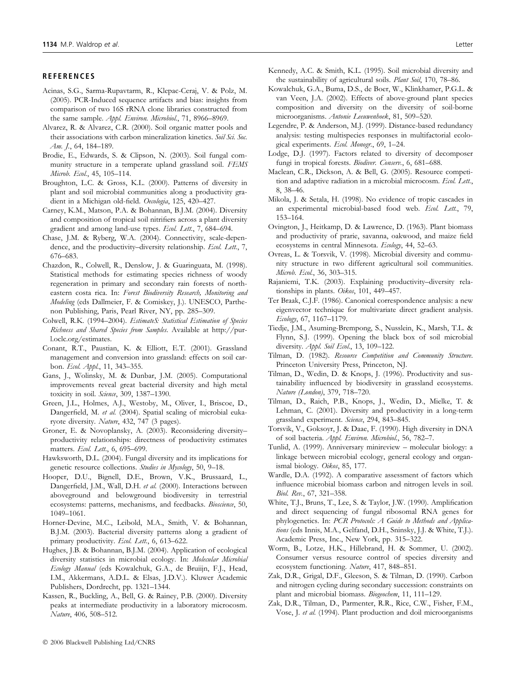## **REFERENCES**

- Acinas, S.G., Sarma-Rupavtarm, R., Klepac-Ceraj, V. & Polz, M. (2005). PCR-Induced sequence artifacts and bias: insights from comparison of two 16S rRNA clone libraries constructed from the same sample. Appl. Environ. Microbiol., 71, 8966-8969.
- Alvarez, R. & Alvarez, C.R. (2000). Soil organic matter pools and their associations with carbon mineralization kinetics. Soil Sci. Soc. Am. I., 64, 184–189.
- Brodie, E., Edwards, S. & Clipson, N. (2003). Soil fungal community structure in a temperate upland grassland soil. FEMS Microb. Ecol., 45, 105-114.
- Broughton, L.C. & Gross, K.L. (2000). Patterns of diversity in plant and soil microbial communities along a productivity gradient in a Michigan old-field. Oecologia, 125, 420–427.
- Carney, K.M., Matson, P.A. & Bohannan, B.J.M. (2004). Diversity and composition of tropical soil nitrifiers across a plant diversity gradient and among land-use types. Ecol. Lett., 7, 684-694.
- Chase, J.M. & Ryberg, W.A. (2004). Connectivity, scale-dependence, and the productivity–diversity relationship. Ecol. Lett., 7, 676–683.
- Chazdon, R., Colwell, R., Denslow, J. & Guaringuata, M. (1998). Statistical methods for estimating species richness of woody regeneration in primary and secondary rain forests of northeastern costa rica. In: Forest Biodiversity Research, Monitoring and Modeling (eds Dallmeier, F. & Comiskey, J.). UNESCO, Parthenon Publishing, Paris, Pearl River, NY, pp. 285–309.
- Colwell, R.K. (1994–2004). EstimateS: Statistical Estimation of Species Richness and Shared Species from Samples. Available at http://purl.oclc.org/estimates.
- Conant, R.T., Paustian, K. & Elliott, E.T. (2001). Grassland management and conversion into grassland: effects on soil carbon. Ecol. Appl., 11, 343–355.
- Gans, J., Wolinsky, M. & Dunbar, J.M. (2005). Computational improvements reveal great bacterial diversity and high metal toxicity in soil. Science, 309, 1387–1390.
- Green, J.L., Holmes, A.J., Westoby, M., Oliver, I., Briscoe, D., Dangerfield, M. et al. (2004). Spatial scaling of microbial eukaryote diversity. Nature, 432, 747 (3 pages).
- Groner, E. & Novoplansky, A. (2003). Reconsidering diversity– productivity relationships: directness of productivity estimates matters. Ecol. Lett., 6, 695-699.
- Hawksworth, D.L. (2004). Fungal diversity and its implications for genetic resource collections. Studies in Mycology, 50, 9–18.
- Hooper, D.U., Bignell, D.E., Brown, V.K., Brussaard, L., Dangerfield, J.M., Wall, D.H. et al. (2000). Interactions between aboveground and belowground biodiversity in terrestrial ecosystems: patterns, mechanisms, and feedbacks. Bioscience, 50, 1049–1061.
- Horner-Devine, M.C., Leibold, M.A., Smith, V. & Bohannan, B.J.M. (2003). Bacterial diversity patterns along a gradient of primary productivity. Ecol. Lett., 6, 613-622.
- Hughes, J.B. & Bohannan, B.J.M. (2004). Application of ecological diversity statistics in microbial ecology. In: Molecular Microbial Ecology Manual (eds Kowalchuk, G.A., de Bruiijn, F.J., Head, I.M., Akkermans, A.D.L. & Elsas, J.D.V.). Kluwer Academic Publishers, Dordrecht, pp. 1321–1344.
- Kassen, R., Buckling, A., Bell, G. & Rainey, P.B. (2000). Diversity peaks at intermediate productivity in a laboratory microcosm. Nature, 406, 508–512.
- Kennedy, A.C. & Smith, K.L. (1995). Soil microbial diversity and the sustainability of agricultural soils. Plant Soil, 170, 78–86.
- Kowalchuk, G.A., Buma, D.S., de Boer, W., Klinkhamer, P.G.L. & van Veen, J.A. (2002). Effects of above-ground plant species composition and diversity on the diversity of soil-borne microorganisms. Antonie Leeuwenhoek, 81, 509–520.
- Legendre, P. & Anderson, M.J. (1999). Distance-based redundancy analysis: testing multispecies responses in multifactorial ecological experiments. Ecol. Monogr., 69, 1–24.
- Lodge, D.J. (1997). Factors related to diversity of decomposer fungi in tropical forests. Biodiver. Conserv., 6, 681-688.
- Maclean, C.R., Dickson, A. & Bell, G. (2005). Resource competition and adaptive radiation in a microbial microcosm. Ecol. Lett., 8, 38–46.
- Mikola, J. & Setala, H. (1998). No evidence of tropic cascades in an experimental microbial-based food web. Ecol. Lett., 79, 153–164.
- Ovington, J., Heitkamp, D. & Lawrence, D. (1963). Plant biomass and productivity of prarie, savanna, oakwood, and maize field ecosystems in central Minnesota. Ecology, 44, 52–63.
- Ovreas, L. & Torsvik, V. (1998). Microbial diversity and community structure in two different agricultural soil communities. Microb. Ecol., 36, 303–315.
- Rajaniemi, T.K. (2003). Explaining productivity–diversity relationships in plants. Oikos, 101, 449-457.
- Ter Braak, C.J.F. (1986). Canonical correspondence analysis: a new eigenvector technique for multivariate direct gradient analysis. Ecology, 67, 1167–1179.
- Tiedje, J.M., Asuming-Brempong, S., Nusslein, K., Marsh, T.L. & Flynn, S.J. (1999). Opening the black box of soil microbial diversity. Appl. Soil Ecol., 13, 109-122.
- Tilman, D. (1982). Resource Competition and Community Structure. Princeton University Press, Princeton, NJ.
- Tilman, D., Wedin, D. & Knops, J. (1996). Productivity and sustainability influenced by biodiversity in grassland ecosystems. Nature (London), 379, 718–720.
- Tilman, D., Raich, P.B., Knops, J., Wedin, D., Mielke, T. & Lehman, C. (2001). Diversity and productivity in a long-term grassland experiment. Science, 294, 843-845.
- Torsvik, V., Goksoyr, J. & Daae, F. (1990). High diversity in DNA of soil bacteria. Appl. Environ. Microbiol., 56, 782–7.
- Tunlid, A. (1999). Anniversary minireview molecular biology: a linkage between microbial ecology, general ecology and organismal biology. Oikos, 85, 177.
- Wardle, D.A. (1992). A comparative assessment of factors which influence microbial biomass carbon and nitrogen levels in soil. Biol. Rev., 67, 321–358.
- White, T.J., Bruns, T., Lee, S. & Taylor, J.W. (1990). Amplification and direct sequencing of fungal ribosomal RNA genes for phylogenetics. In: PCR Protocols: A Guide to Methods and Applications (eds Innis, M.A., Gelfand, D.H., Sninsky, J.J. & White, T.J.). Academic Press, Inc., New York, pp. 315–322.
- Worm, B., Lotze, H.K., Hillebrand, H. & Sommer, U. (2002). Consumer versus resource control of species diversity and ecosystem functioning. Nature, 417, 848–851.
- Zak, D.R., Grigal, D.F., Gleeson, S. & Tilman, D. (1990). Carbon and nitrogen cycling during secondary succession: constraints on plant and microbial biomass. Biogeochem, 11, 111-129.
- Zak, D.R., Tilman, D., Parmenter, R.R., Rice, C.W., Fisher, F.M., Vose, J. et al. (1994). Plant production and doil microorganisms